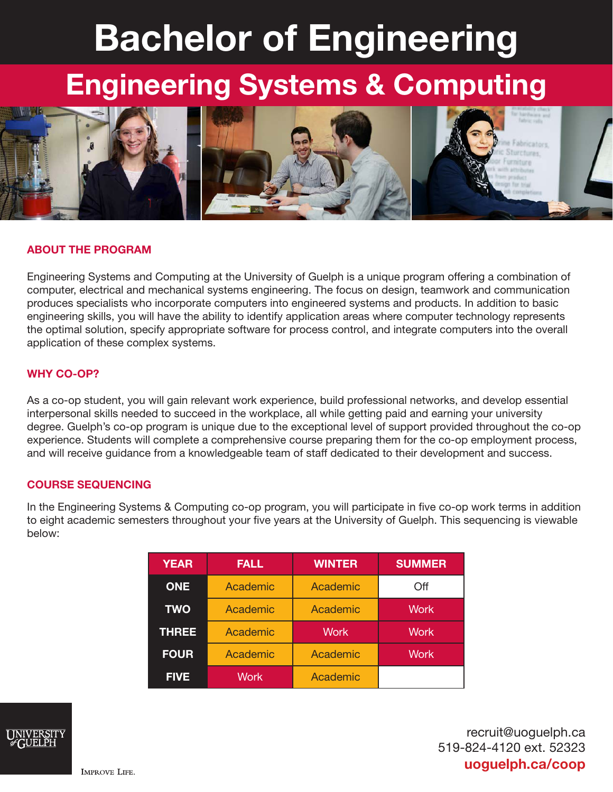# Bachelor of Engineering

## Engineering Systems & Computing



### ABOUT THE PROGRAM

Engineering Systems and Computing at the University of Guelph is a unique program offering a combination of computer, electrical and mechanical systems engineering. The focus on design, teamwork and communication produces specialists who incorporate computers into engineered systems and products. In addition to basic engineering skills, you will have the ability to identify application areas where computer technology represents the optimal solution, specify appropriate software for process control, and integrate computers into the overall application of these complex systems.

#### WHY CO-OP?

As a co-op student, you will gain relevant work experience, build professional networks, and develop essential interpersonal skills needed to succeed in the workplace, all while getting paid and earning your university degree. Guelph's co-op program is unique due to the exceptional level of support provided throughout the co-op experience. Students will complete a comprehensive course preparing them for the co-op employment process, and will receive guidance from a knowledgeable team of staff dedicated to their development and success.

#### COURSE SEQUENCING

In the Engineering Systems & Computing co-op program, you will participate in five co-op work terms in addition to eight academic semesters throughout your five years at the University of Guelph. This sequencing is viewable below:

| <b>YEAR</b>  | <b>FALL</b> | <b>WINTER</b> | <b>SUMMER</b> |
|--------------|-------------|---------------|---------------|
| <b>ONE</b>   | Academic    | Academic      | Off           |
| <b>TWO</b>   | Academic    | Academic      | <b>Work</b>   |
| <b>THREE</b> | Academic    | <b>Work</b>   | <b>Work</b>   |
| <b>FOUR</b>  | Academic    | Academic      | <b>Work</b>   |
| <b>FIVE</b>  | Work        | Academic      |               |



recruit@uoguelph.ca 519-824-4120 ext. 52323 uoguelph.ca/coop